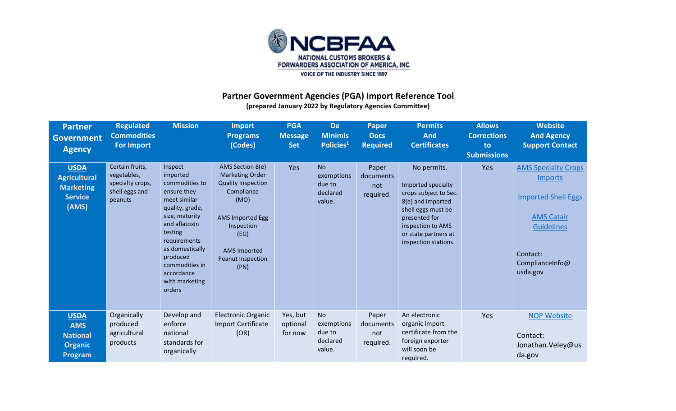

## **Partner Government Agencies (PGA) Import Reference Tool (prepared January 2022 by Regulatory Agencies Committee)**

| <b>Partner</b><br><b>Government</b><br><b>Agency</b>                              | <b>Regulated</b><br><b>Commodities</b><br><b>For Import</b>                     | <b>Mission</b>                                                                                                                                                                                                                                   | <b>Import</b><br><b>Programs</b><br>(Codes)                                                                                                                                                        | <b>PGA</b><br><b>Message</b><br><b>Set</b> | <b>De</b><br><b>Minimis</b><br>Policies <sup>1</sup>    | <b>Paper</b><br><b>Docs</b><br><b>Required</b> | Permits<br><b>And</b><br><b>Certificates</b>                                                                                                                                                | <b>Allows</b><br><b>Corrections</b><br>to<br><b>Submissions</b> | <b>Website</b><br><b>And Agency</b><br><b>Support Contact</b>                                                                                                   |
|-----------------------------------------------------------------------------------|---------------------------------------------------------------------------------|--------------------------------------------------------------------------------------------------------------------------------------------------------------------------------------------------------------------------------------------------|----------------------------------------------------------------------------------------------------------------------------------------------------------------------------------------------------|--------------------------------------------|---------------------------------------------------------|------------------------------------------------|---------------------------------------------------------------------------------------------------------------------------------------------------------------------------------------------|-----------------------------------------------------------------|-----------------------------------------------------------------------------------------------------------------------------------------------------------------|
| <b>USDA</b><br><b>Agricultural</b><br><b>Marketing</b><br><b>Service</b><br>(AMS) | Certain fruits,<br>vegetables,<br>specialty crops,<br>shell eggs and<br>peanuts | Inspect<br>imported<br>commodities to<br>ensure they<br>meet similar<br>quality, grade,<br>size, maturity<br>and aflatoxin<br>testing<br>requirements<br>as domestically<br>produced<br>commodities in<br>accordance<br>with marketing<br>orders | AMS Section 8(e)<br><b>Marketing Order</b><br><b>Quality Inspection</b><br>Compliance<br>(MO)<br><b>AMS Imported Egg</b><br>Inspection<br>(EG)<br><b>AMS Imported</b><br>Peanut Inspection<br>(PN) | Yes                                        | <b>No</b><br>exemptions<br>due to<br>declared<br>value. | Paper<br>documents<br>not<br>required.         | No permits.<br>Imported specialty<br>crops subject to Sec.<br>8(e) and imported<br>shell eggs must be<br>presented for<br>inspection to AMS<br>or state partners at<br>inspection stations. | Yes                                                             | <b>AMS Specialty Crops</b><br><b>Imports</b><br><b>Imported Shell Eggs</b><br><b>AMS Catair</b><br><b>Guidelines</b><br>Contact:<br>ComplianceInfo@<br>usda.gov |
| <b>USDA</b><br><b>AMS</b><br><b>National</b><br><b>Organic</b><br>Program         | Organically<br>produced<br>agricultural<br>products                             | Develop and<br>enforce<br>national<br>standards for<br>organically                                                                                                                                                                               | <b>Electronic Organic</b><br><b>Import Certificate</b><br>(OR)                                                                                                                                     | Yes, but<br>optional<br>for now            | <b>No</b><br>exemptions<br>due to<br>declared<br>value. | Paper<br>documents<br>not<br>required.         | An electronic<br>organic import<br>certificate from the<br>foreign exporter<br>will soon be<br>required.                                                                                    | Yes                                                             | <b>NOP Website</b><br>Contact:<br>Jonathan. Veley@us<br>da.gov                                                                                                  |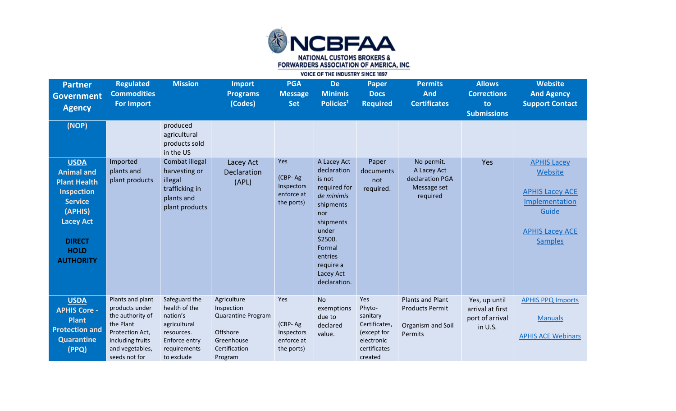

| <b>Partner</b><br><b>Government</b><br><b>Agency</b>                                                                                                                              | <b>Regulated</b><br><b>Commodities</b><br><b>For Import</b>                                                                                    | <b>Mission</b>                                                                                                          | <b>Import</b><br><b>Programs</b><br>(Codes)                                                           | <b>PGA</b><br><b>Message</b><br><b>Set</b>               | <b>De</b><br><b>Minimis</b><br>Policies <sup>1</sup>                                                                                                                                   | <b>Paper</b><br><b>Docs</b><br><b>Required</b>                                                     | <b>Permits</b><br><b>And</b><br><b>Certificates</b>                               | <b>Allows</b><br><b>Corrections</b><br>to<br><b>Submissions</b> | <b>Website</b><br><b>And Agency</b><br><b>Support Contact</b>                                                                  |
|-----------------------------------------------------------------------------------------------------------------------------------------------------------------------------------|------------------------------------------------------------------------------------------------------------------------------------------------|-------------------------------------------------------------------------------------------------------------------------|-------------------------------------------------------------------------------------------------------|----------------------------------------------------------|----------------------------------------------------------------------------------------------------------------------------------------------------------------------------------------|----------------------------------------------------------------------------------------------------|-----------------------------------------------------------------------------------|-----------------------------------------------------------------|--------------------------------------------------------------------------------------------------------------------------------|
| (NOP)                                                                                                                                                                             |                                                                                                                                                | produced<br>agricultural<br>products sold<br>in the US                                                                  |                                                                                                       |                                                          |                                                                                                                                                                                        |                                                                                                    |                                                                                   |                                                                 |                                                                                                                                |
| <b>USDA</b><br><b>Animal and</b><br><b>Plant Health</b><br><b>Inspection</b><br><b>Service</b><br>(APHIS)<br><b>Lacey Act</b><br><b>DIRECT</b><br><b>HOLD</b><br><b>AUTHORITY</b> | Imported<br>plants and<br>plant products                                                                                                       | Combat illegal<br>harvesting or<br>illegal<br>trafficking in<br>plants and<br>plant products                            | Lacey Act<br>Declaration<br>(APL)                                                                     | Yes<br>(CBP-Ag<br>Inspectors<br>enforce at<br>the ports) | A Lacey Act<br>declaration<br>is not<br>required for<br>de minimis<br>shipments<br>nor<br>shipments<br>under<br>\$2500.<br>Formal<br>entries<br>require a<br>Lacey Act<br>declaration. | Paper<br>documents<br>not<br>required.                                                             | No permit.<br>A Lacey Act<br>declaration PGA<br>Message set<br>required           | Yes                                                             | <b>APHIS Lacey</b><br>Website<br><b>APHIS Lacey ACE</b><br>Implementation<br>Guide<br><b>APHIS Lacey ACE</b><br><b>Samples</b> |
| <b>USDA</b><br><b>APHIS Core -</b><br><b>Plant</b><br><b>Protection and</b><br><b>Quarantine</b><br>(PPQ)                                                                         | Plants and plant<br>products under<br>the authority of<br>the Plant<br>Protection Act,<br>including fruits<br>and vegetables,<br>seeds not for | Safeguard the<br>health of the<br>nation's<br>agricultural<br>resources.<br>Enforce entry<br>requirements<br>to exclude | Agriculture<br>Inspection<br>Quarantine Program<br>Offshore<br>Greenhouse<br>Certification<br>Program | Yes<br>(CBP-Ag<br>Inspectors<br>enforce at<br>the ports) | <b>No</b><br>exemptions<br>due to<br>declared<br>value.                                                                                                                                | Yes<br>Phyto-<br>sanitary<br>Certificates,<br>(except for<br>electronic<br>certificates<br>created | <b>Plants and Plant</b><br><b>Products Permit</b><br>Organism and Soil<br>Permits | Yes, up until<br>arrival at first<br>port of arrival<br>in U.S. | <b>APHIS PPQ Imports</b><br><b>Manuals</b><br><b>APHIS ACE Webinars</b>                                                        |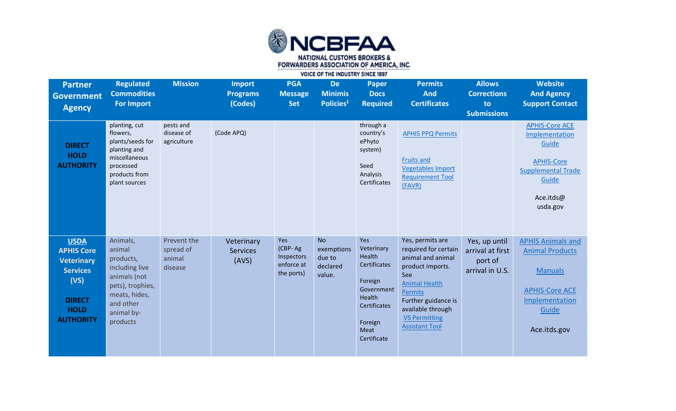

| <b>Partner</b><br><b>Government</b><br><b>Agency</b>                                                                                 | <b>Regulated</b><br><b>Commodities</b><br><b>For Import</b>                                                                                   | <b>Mission</b>                                | <b>Import</b><br><b>Programs</b><br>(Codes) | <b>PGA</b><br><b>Message</b><br><b>Set</b>               | <b>De</b><br><b>Minimis</b><br>Policies <sup>1</sup>    | <b>Paper</b><br><b>Docs</b><br><b>Required</b>                                                                                   | <b>Permits</b><br><b>And</b><br><b>Certificates</b>                                                                                                                                                                      | <b>Allows</b><br><b>Corrections</b><br>to<br><b>Submissions</b> | <b>Website</b><br><b>And Agency</b><br><b>Support Contact</b>                                                                            |
|--------------------------------------------------------------------------------------------------------------------------------------|-----------------------------------------------------------------------------------------------------------------------------------------------|-----------------------------------------------|---------------------------------------------|----------------------------------------------------------|---------------------------------------------------------|----------------------------------------------------------------------------------------------------------------------------------|--------------------------------------------------------------------------------------------------------------------------------------------------------------------------------------------------------------------------|-----------------------------------------------------------------|------------------------------------------------------------------------------------------------------------------------------------------|
| <b>DIRECT</b><br><b>HOLD</b><br><b>AUTHORITY</b>                                                                                     | planting, cut<br>flowers,<br>plants/seeds for<br>planting and<br>miscellaneous<br>processed<br>products from<br>plant sources                 | pests and<br>disease of<br>agriculture        | (Code APQ)                                  |                                                          |                                                         | through a<br>country's<br>ePhyto<br>system)<br>Seed<br>Analysis<br>Certificates                                                  | <b>APHIS PPQ Permits</b><br><b>Fruits and</b><br><b>Vegetables Import</b><br><b>Requirement Tool</b><br>(FAVR)                                                                                                           |                                                                 | <b>APHIS-Core ACE</b><br>Implementation<br>Guide<br><b>APHIS-Core</b><br><b>Supplemental Trade</b><br>Guide<br>Ace.itds@<br>usda.gov     |
| <b>USDA</b><br><b>APHIS Core</b><br><b>Veterinary</b><br><b>Services</b><br>(VS)<br><b>DIRECT</b><br><b>HOLD</b><br><b>AUTHORITY</b> | Animals,<br>animal<br>products,<br>including live<br>animals (not<br>pets), trophies,<br>meats, hides,<br>and other<br>animal by-<br>products | Prevent the<br>spread of<br>animal<br>disease | Veterinary<br><b>Services</b><br>(AVS)      | Yes<br>(CBP-Ag<br>Inspectors<br>enforce at<br>the ports) | <b>No</b><br>exemptions<br>due to<br>declared<br>value. | Yes<br>Veterinary<br>Health<br>Certificates<br>Foreign<br>Government<br>Health<br>Certificates<br>Foreign<br>Meat<br>Certificate | Yes, permits are<br>required for certain<br>animal and animal<br>product imports.<br>See<br><b>Animal Health</b><br>Permits<br>Further guidance is<br>available through<br><b>VS Permitting</b><br><b>Assistant Tool</b> | Yes, up until<br>arrival at first<br>port of<br>arrival in U.S. | <b>APHIS Animals and</b><br><b>Animal Products</b><br><b>Manuals</b><br><b>APHIS-Core ACE</b><br>Implementation<br>Guide<br>Ace.itds.gov |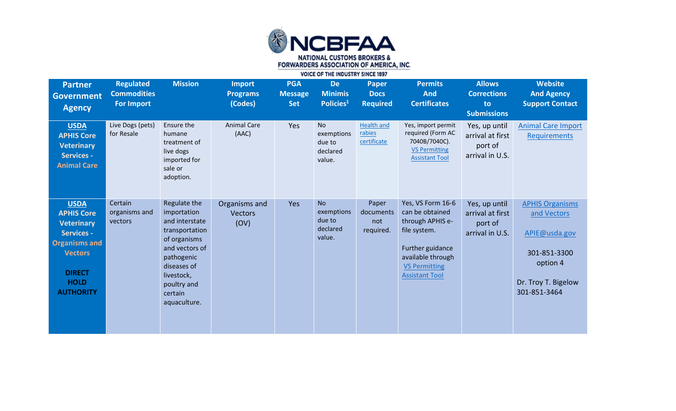

| <b>Partner</b><br><b>Government</b><br><b>Agency</b>                                                                                                                     | <b>Regulated</b><br><b>Commodities</b><br><b>For Import</b> | <b>Mission</b>                                                                                                                                                                         | <b>Import</b><br><b>Programs</b><br>(Codes) | <b>PGA</b><br><b>Message</b><br><b>Set</b> | <b>De</b><br><b>Minimis</b><br>Policies <sup>1</sup>    | <b>Paper</b><br><b>Docs</b><br><b>Required</b> | <b>Permits</b><br><b>And</b><br><b>Certificates</b>                                                                                                                | <b>Allows</b><br><b>Corrections</b><br>to<br><b>Submissions</b> | <b>Website</b><br><b>And Agency</b><br><b>Support Contact</b>                                                             |
|--------------------------------------------------------------------------------------------------------------------------------------------------------------------------|-------------------------------------------------------------|----------------------------------------------------------------------------------------------------------------------------------------------------------------------------------------|---------------------------------------------|--------------------------------------------|---------------------------------------------------------|------------------------------------------------|--------------------------------------------------------------------------------------------------------------------------------------------------------------------|-----------------------------------------------------------------|---------------------------------------------------------------------------------------------------------------------------|
| <b>USDA</b><br><b>APHIS Core</b><br><b>Veterinary</b><br><b>Services -</b><br><b>Animal Care</b>                                                                         | Live Dogs (pets)<br>for Resale                              | Ensure the<br>humane<br>treatment of<br>live dogs<br>imported for<br>sale or<br>adoption.                                                                                              | <b>Animal Care</b><br>(AAC)                 | Yes                                        | <b>No</b><br>exemptions<br>due to<br>declared<br>value. | <b>Health and</b><br>rabies<br>certificate     | Yes, import permit<br>required (Form AC<br>7040B/7040C).<br><b>VS Permitting</b><br><b>Assistant Tool</b>                                                          | Yes, up until<br>arrival at first<br>port of<br>arrival in U.S. | <b>Animal Care Import</b><br>Requirements                                                                                 |
| <b>USDA</b><br><b>APHIS Core</b><br><b>Veterinary</b><br><b>Services -</b><br><b>Organisms and</b><br><b>Vectors</b><br><b>DIRECT</b><br><b>HOLD</b><br><b>AUTHORITY</b> | Certain<br>organisms and<br>vectors                         | Regulate the<br>importation<br>and interstate<br>transportation<br>of organisms<br>and vectors of<br>pathogenic<br>diseases of<br>livestock,<br>poultry and<br>certain<br>aquaculture. | Organisms and<br><b>Vectors</b><br>(OV)     | Yes                                        | <b>No</b><br>exemptions<br>due to<br>declared<br>value. | Paper<br>documents<br>not<br>required.         | Yes, VS Form 16-6<br>can be obtained<br>through APHIS e-<br>file system.<br>Further guidance<br>available through<br><b>VS Permitting</b><br><b>Assistant Tool</b> | Yes, up until<br>arrival at first<br>port of<br>arrival in U.S. | <b>APHIS Organisms</b><br>and Vectors<br>APIE@usda.gov<br>301-851-3300<br>option 4<br>Dr. Troy T. Bigelow<br>301-851-3464 |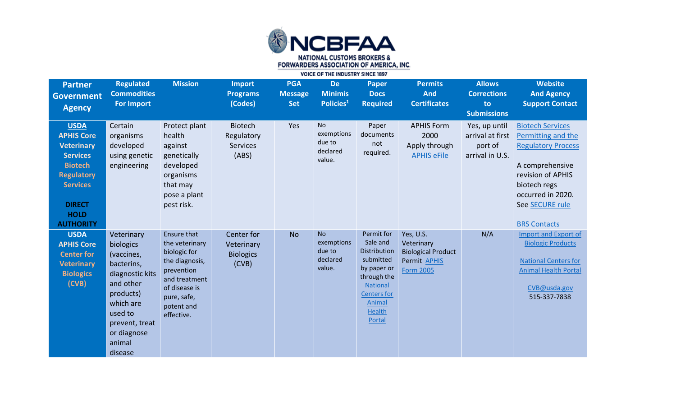

| <b>Partner</b><br><b>Government</b><br><b>Agency</b>                                                                                                                                   | <b>Regulated</b><br><b>Commodities</b><br><b>For Import</b>                                                                                                                    | <b>Mission</b>                                                                                                                                                    | <b>Import</b><br><b>Programs</b><br>(Codes)              | <b>PGA</b><br><b>Message</b><br><b>Set</b> | <b>De</b><br><b>Minimis</b><br>Policies <sup>1</sup>    | <b>Paper</b><br><b>Docs</b><br><b>Required</b>                                                                                                           | <b>Permits</b><br><b>And</b><br><b>Certificates</b>                                      | <b>Allows</b><br><b>Corrections</b><br>to<br><b>Submissions</b> | <b>Website</b><br><b>And Agency</b><br><b>Support Contact</b>                                                                                                                                     |
|----------------------------------------------------------------------------------------------------------------------------------------------------------------------------------------|--------------------------------------------------------------------------------------------------------------------------------------------------------------------------------|-------------------------------------------------------------------------------------------------------------------------------------------------------------------|----------------------------------------------------------|--------------------------------------------|---------------------------------------------------------|----------------------------------------------------------------------------------------------------------------------------------------------------------|------------------------------------------------------------------------------------------|-----------------------------------------------------------------|---------------------------------------------------------------------------------------------------------------------------------------------------------------------------------------------------|
| <b>USDA</b><br><b>APHIS Core</b><br><b>Veterinary</b><br><b>Services</b><br><b>Biotech</b><br><b>Regulatory</b><br><b>Services</b><br><b>DIRECT</b><br><b>HOLD</b><br><b>AUTHORITY</b> | Certain<br>organisms<br>developed<br>using genetic<br>engineering                                                                                                              | Protect plant<br>health<br>against<br>genetically<br>developed<br>organisms<br>that may<br>pose a plant<br>pest risk.                                             | <b>Biotech</b><br>Regulatory<br><b>Services</b><br>(ABS) | Yes                                        | <b>No</b><br>exemptions<br>due to<br>declared<br>value. | Paper<br>documents<br>not<br>required.                                                                                                                   | <b>APHIS Form</b><br>2000<br>Apply through<br><b>APHIS eFile</b>                         | Yes, up until<br>arrival at first<br>port of<br>arrival in U.S. | <b>Biotech Services</b><br>Permitting and the<br><b>Regulatory Process</b><br>A comprehensive<br>revision of APHIS<br>biotech regs<br>occurred in 2020.<br>See SECURE rule<br><b>BRS Contacts</b> |
| <b>USDA</b><br><b>APHIS Core</b><br><b>Center for</b><br><b>Veterinary</b><br><b>Biologics</b><br>(CVB)                                                                                | Veterinary<br>biologics<br>(vaccines,<br>bacterins,<br>diagnostic kits<br>and other<br>products)<br>which are<br>used to<br>prevent, treat<br>or diagnose<br>animal<br>disease | <b>Ensure that</b><br>the veterinary<br>biologic for<br>the diagnosis,<br>prevention<br>and treatment<br>of disease is<br>pure, safe,<br>potent and<br>effective. | Center for<br>Veterinary<br><b>Biologics</b><br>(CVB)    | <b>No</b>                                  | <b>No</b><br>exemptions<br>due to<br>declared<br>value. | Permit for<br>Sale and<br>Distribution<br>submitted<br>by paper or<br>through the<br><b>National</b><br><b>Centers</b> for<br>Animal<br>Health<br>Portal | Yes, U.S.<br>Veterinary<br><b>Biological Product</b><br>Permit APHIS<br><b>Form 2005</b> | N/A                                                             | Import and Export of<br><b>Biologic Products</b><br><b>National Centers for</b><br><b>Animal Health Portal</b><br>CVB@usda.gov<br>515-337-7838                                                    |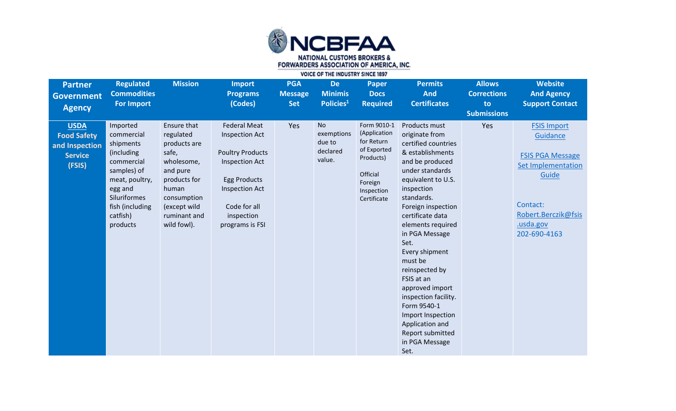

| <b>Partner</b><br><b>Government</b><br><b>Agency</b>                            | <b>Regulated</b><br><b>Commodities</b><br><b>For Import</b>                                                                                                             | <b>Mission</b>                                                                                                                                                     | <b>Import</b><br><b>Programs</b><br>(Codes)                                                                                                                                                       | <b>PGA</b><br><b>Message</b><br><b>Set</b> | <b>De</b><br><b>Minimis</b><br>Policies <sup>1</sup>    | <b>Paper</b><br><b>Docs</b><br><b>Required</b>                                                                            | <b>Permits</b><br><b>And</b><br><b>Certificates</b>                                                                                                                                                                                                                                                                                                                                                                                                                      | <b>Allows</b><br><b>Corrections</b><br>to<br><b>Submissions</b> | <b>Website</b><br><b>And Agency</b><br><b>Support Contact</b>                                                                                                  |
|---------------------------------------------------------------------------------|-------------------------------------------------------------------------------------------------------------------------------------------------------------------------|--------------------------------------------------------------------------------------------------------------------------------------------------------------------|---------------------------------------------------------------------------------------------------------------------------------------------------------------------------------------------------|--------------------------------------------|---------------------------------------------------------|---------------------------------------------------------------------------------------------------------------------------|--------------------------------------------------------------------------------------------------------------------------------------------------------------------------------------------------------------------------------------------------------------------------------------------------------------------------------------------------------------------------------------------------------------------------------------------------------------------------|-----------------------------------------------------------------|----------------------------------------------------------------------------------------------------------------------------------------------------------------|
| <b>USDA</b><br><b>Food Safety</b><br>and Inspection<br><b>Service</b><br>(FSIS) | Imported<br>commercial<br>shipments<br>(including)<br>commercial<br>samples) of<br>meat, poultry,<br>egg and<br>Siluriformes<br>fish (including<br>catfish)<br>products | Ensure that<br>regulated<br>products are<br>safe,<br>wholesome,<br>and pure<br>products for<br>human<br>consumption<br>(except wild<br>ruminant and<br>wild fowl). | <b>Federal Meat</b><br><b>Inspection Act</b><br><b>Poultry Products</b><br><b>Inspection Act</b><br><b>Egg Products</b><br><b>Inspection Act</b><br>Code for all<br>inspection<br>programs is FSI | Yes                                        | <b>No</b><br>exemptions<br>due to<br>declared<br>value. | Form 9010-1<br>(Application<br>for Return<br>of Exported<br>Products)<br>Official<br>Foreign<br>Inspection<br>Certificate | Products must<br>originate from<br>certified countries<br>& establishments<br>and be produced<br>under standards<br>equivalent to U.S.<br>inspection<br>standards.<br>Foreign inspection<br>certificate data<br>elements required<br>in PGA Message<br>Set.<br>Every shipment<br>must be<br>reinspected by<br>FSIS at an<br>approved import<br>inspection facility.<br>Form 9540-1<br>Import Inspection<br>Application and<br>Report submitted<br>in PGA Message<br>Set. | Yes                                                             | <b>FSIS Import</b><br>Guidance<br><b>FSIS PGA Message</b><br><b>Set Implementation</b><br>Guide<br>Contact:<br>Robert.Berczik@fsis<br>usda.gov<br>202-690-4163 |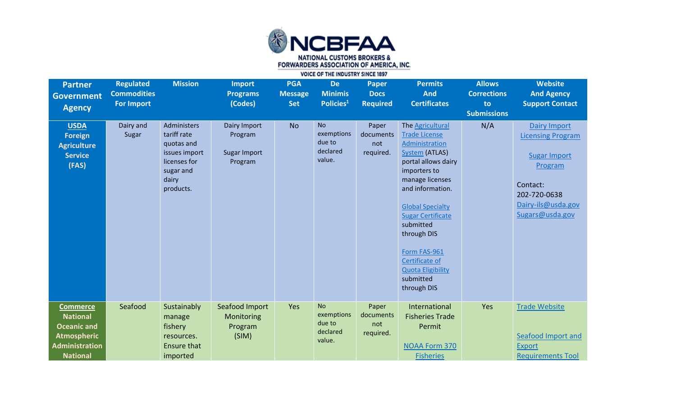

| <b>Partner</b><br><b>Government</b><br><b>Agency</b>                                                                       | <b>Regulated</b><br><b>Commodities</b><br><b>For Import</b> | <b>Mission</b>                                                                                               | <b>Import</b><br><b>Programs</b><br>(Codes)        | <b>PGA</b><br><b>Message</b><br><b>Set</b> | <b>De</b><br><b>Minimis</b><br>Policies <sup>1</sup>    | <b>Paper</b><br><b>Docs</b><br><b>Required</b> | <b>Permits</b><br><b>And</b><br><b>Certificates</b>                                                                                                                                                                                                                                                                                     | <b>Allows</b><br><b>Corrections</b><br>to<br><b>Submissions</b> | <b>Website</b><br><b>And Agency</b><br><b>Support Contact</b>                                                                                   |
|----------------------------------------------------------------------------------------------------------------------------|-------------------------------------------------------------|--------------------------------------------------------------------------------------------------------------|----------------------------------------------------|--------------------------------------------|---------------------------------------------------------|------------------------------------------------|-----------------------------------------------------------------------------------------------------------------------------------------------------------------------------------------------------------------------------------------------------------------------------------------------------------------------------------------|-----------------------------------------------------------------|-------------------------------------------------------------------------------------------------------------------------------------------------|
| <b>USDA</b><br><b>Foreign</b><br><b>Agriculture</b><br><b>Service</b><br>(FAS)                                             | Dairy and<br>Sugar                                          | Administers<br>tariff rate<br>quotas and<br>issues import<br>licenses for<br>sugar and<br>dairy<br>products. | Dairy Import<br>Program<br>Sugar Import<br>Program | <b>No</b>                                  | <b>No</b><br>exemptions<br>due to<br>declared<br>value. | Paper<br>documents<br>not<br>required.         | The Agricultural<br><b>Trade License</b><br>Administration<br>System (ATLAS)<br>portal allows dairy<br>importers to<br>manage licenses<br>and information.<br><b>Global Specialty</b><br><b>Sugar Certificate</b><br>submitted<br>through DIS<br>Form FAS-961<br>Certificate of<br><b>Quota Eligibility</b><br>submitted<br>through DIS | N/A                                                             | Dairy Import<br><b>Licensing Program</b><br><b>Sugar Import</b><br>Program<br>Contact:<br>202-720-0638<br>Dairy-ils@usda.gov<br>Sugars@usda.gov |
| <b>Commerce</b><br><b>National</b><br><b>Oceanic and</b><br><b>Atmospheric</b><br><b>Administration</b><br><b>National</b> | Seafood                                                     | Sustainably<br>manage<br>fishery<br>resources.<br>Ensure that<br>imported                                    | Seafood Import<br>Monitoring<br>Program<br>(SIM)   | Yes                                        | <b>No</b><br>exemptions<br>due to<br>declared<br>value. | Paper<br>documents<br>not<br>required.         | International<br><b>Fisheries Trade</b><br>Permit<br><b>NOAA Form 370</b><br><b>Fisheries</b>                                                                                                                                                                                                                                           | Yes                                                             | <b>Trade Website</b><br>Seafood Import and<br><b>Export</b><br><b>Requirements Tool</b>                                                         |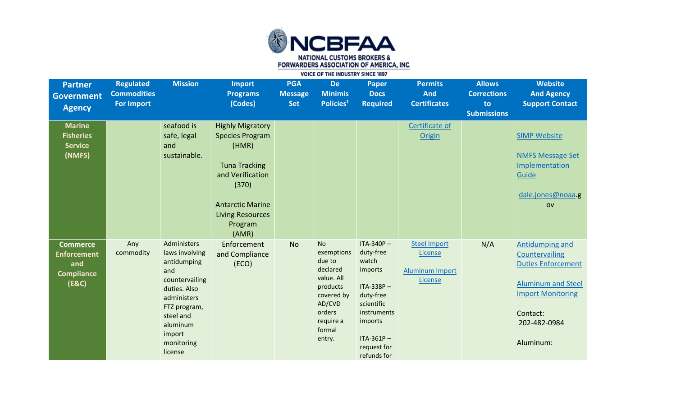

| <b>Partner</b><br><b>Government</b><br><b>Agency</b>                       | <b>Regulated</b><br><b>Commodities</b><br><b>For Import</b> | <b>Mission</b>                                                                                                                                                                   | <b>Import</b><br><b>Programs</b><br>(Codes)                                                                                                                                               | <b>PGA</b><br><b>Message</b><br><b>Set</b> | <b>De</b><br><b>Minimis</b><br>Policies <sup>1</sup>                                                                                       | <b>Paper</b><br><b>Docs</b><br><b>Required</b>                                                                                                                   | <b>Permits</b><br><b>And</b><br><b>Certificates</b>                 | <b>Allows</b><br><b>Corrections</b><br>to<br><b>Submissions</b> | <b>Website</b><br><b>And Agency</b><br><b>Support Contact</b>                                                                                                    |
|----------------------------------------------------------------------------|-------------------------------------------------------------|----------------------------------------------------------------------------------------------------------------------------------------------------------------------------------|-------------------------------------------------------------------------------------------------------------------------------------------------------------------------------------------|--------------------------------------------|--------------------------------------------------------------------------------------------------------------------------------------------|------------------------------------------------------------------------------------------------------------------------------------------------------------------|---------------------------------------------------------------------|-----------------------------------------------------------------|------------------------------------------------------------------------------------------------------------------------------------------------------------------|
| <b>Marine</b><br><b>Fisheries</b><br><b>Service</b><br>(NMFS)              |                                                             | seafood is<br>safe, legal<br>and<br>sustainable.                                                                                                                                 | <b>Highly Migratory</b><br><b>Species Program</b><br>(HMR)<br><b>Tuna Tracking</b><br>and Verification<br>(370)<br><b>Antarctic Marine</b><br><b>Living Resources</b><br>Program<br>(AMR) |                                            |                                                                                                                                            |                                                                                                                                                                  | Certificate of<br>Origin                                            |                                                                 | <b>SIMP Website</b><br><b>NMFS Message Set</b><br>Implementation<br>Guide<br>dale.jones@noaa.g<br>O <sub>V</sub>                                                 |
| <b>Commerce</b><br><b>Enforcement</b><br>and<br><b>Compliance</b><br>(E&C) | Any<br>commodity                                            | Administers<br>laws involving<br>antidumping<br>and<br>countervailing<br>duties. Also<br>administers<br>FTZ program,<br>steel and<br>aluminum<br>import<br>monitoring<br>license | Enforcement<br>and Compliance<br>(ECO)                                                                                                                                                    | <b>No</b>                                  | <b>No</b><br>exemptions<br>due to<br>declared<br>value. All<br>products<br>covered by<br>AD/CVD<br>orders<br>require a<br>formal<br>entry. | $ITA-340P -$<br>duty-free<br>watch<br>imports<br>$ITA-338P -$<br>duty-free<br>scientific<br>instruments<br>imports<br>$ITA-361P -$<br>request for<br>refunds for | <b>Steel Import</b><br>License<br><b>Aluminum Import</b><br>License | N/A                                                             | Antidumping and<br>Countervailing<br><b>Duties Enforcement</b><br><b>Aluminum and Steel</b><br><b>Import Monitoring</b><br>Contact:<br>202-482-0984<br>Aluminum: |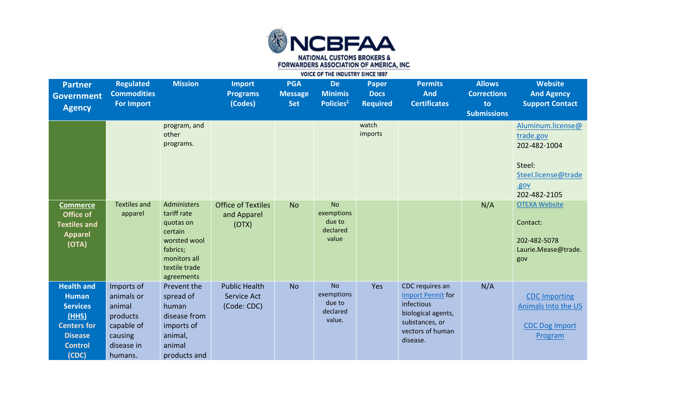

| <b>Partner</b><br><b>Government</b><br><b>Agency</b>                                                                             | <b>Regulated</b><br><b>Commodities</b><br><b>For Import</b>                                      | <b>Mission</b>                                                                                                                | <b>Import</b><br><b>Programs</b><br>(Codes)        | <b>PGA</b><br><b>Message</b><br><b>Set</b> | <b>De</b><br><b>Minimis</b><br>Policies <sup>1</sup>    | <b>Paper</b><br><b>Docs</b><br><b>Required</b> | <b>Permits</b><br><b>And</b><br><b>Certificates</b>                                                                               | <b>Allows</b><br><b>Corrections</b><br>to<br><b>Submissions</b> | <b>Website</b><br><b>And Agency</b><br><b>Support Contact</b>                                           |
|----------------------------------------------------------------------------------------------------------------------------------|--------------------------------------------------------------------------------------------------|-------------------------------------------------------------------------------------------------------------------------------|----------------------------------------------------|--------------------------------------------|---------------------------------------------------------|------------------------------------------------|-----------------------------------------------------------------------------------------------------------------------------------|-----------------------------------------------------------------|---------------------------------------------------------------------------------------------------------|
|                                                                                                                                  |                                                                                                  | program, and<br>other<br>programs.                                                                                            |                                                    |                                            |                                                         | watch<br>imports                               |                                                                                                                                   |                                                                 | Aluminum.license@<br>trade.gov<br>202-482-1004<br>Steel:<br>Steel.license@trade<br>.gov<br>202-482-2105 |
| <b>Commerce</b><br>Office of<br><b>Textiles and</b><br><b>Apparel</b><br>(OTA)                                                   | <b>Textiles and</b><br>apparel                                                                   | Administers<br>tariff rate<br>quotas on<br>certain<br>worsted wool<br>fabrics;<br>monitors all<br>textile trade<br>agreements | <b>Office of Textiles</b><br>and Apparel<br>(OTX)  | <b>No</b>                                  | <b>No</b><br>exemptions<br>due to<br>declared<br>value  |                                                |                                                                                                                                   | N/A                                                             | <b>OTEXA Website</b><br>Contact:<br>202-482-5078<br>Laurie.Mease@trade.<br>gov                          |
| <b>Health and</b><br><b>Human</b><br><b>Services</b><br>(HHS)<br><b>Centers for</b><br><b>Disease</b><br><b>Control</b><br>(CDC) | Imports of<br>animals or<br>animal<br>products<br>capable of<br>causing<br>disease in<br>humans. | Prevent the<br>spread of<br>human<br>disease from<br>imports of<br>animal,<br>animal<br>products and                          | <b>Public Health</b><br>Service Act<br>(Code: CDC) | <b>No</b>                                  | <b>No</b><br>exemptions<br>due to<br>declared<br>value. | Yes                                            | CDC requires an<br><b>Import Permit for</b><br>infectious<br>biological agents,<br>substances, or<br>vectors of human<br>disease. | N/A                                                             | <b>CDC Importing</b><br>Animals Into the US<br><b>CDC Dog Import</b><br>Program                         |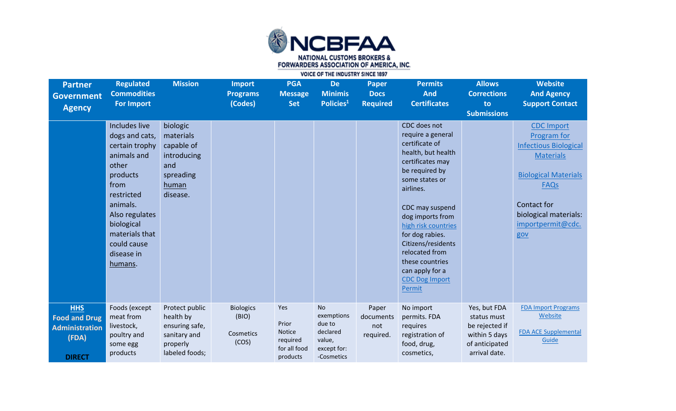

| <b>Partner</b><br><b>Government</b><br><b>Agency</b>                                  | <b>Regulated</b><br><b>Commodities</b><br><b>For Import</b>                                                                                                                                                       | <b>Mission</b>                                                                              | <b>Import</b><br><b>Programs</b><br>(Codes)     | <b>PGA</b><br><b>Message</b><br><b>Set</b>                     | <b>De</b><br><b>Minimis</b><br>Policies <sup>1</sup>                                 | <b>Paper</b><br><b>Docs</b><br><b>Required</b> | <b>Permits</b><br><b>And</b><br><b>Certificates</b>                                                                                                                                                                                                                                                                                              | <b>Allows</b><br><b>Corrections</b><br>to<br><b>Submissions</b>                                   | <b>Website</b><br><b>And Agency</b><br><b>Support Contact</b>                                                                                                                                   |
|---------------------------------------------------------------------------------------|-------------------------------------------------------------------------------------------------------------------------------------------------------------------------------------------------------------------|---------------------------------------------------------------------------------------------|-------------------------------------------------|----------------------------------------------------------------|--------------------------------------------------------------------------------------|------------------------------------------------|--------------------------------------------------------------------------------------------------------------------------------------------------------------------------------------------------------------------------------------------------------------------------------------------------------------------------------------------------|---------------------------------------------------------------------------------------------------|-------------------------------------------------------------------------------------------------------------------------------------------------------------------------------------------------|
|                                                                                       | Includes live<br>dogs and cats,<br>certain trophy<br>animals and<br>other<br>products<br>from<br>restricted<br>animals.<br>Also regulates<br>biological<br>materials that<br>could cause<br>disease in<br>humans. | biologic<br>materials<br>capable of<br>introducing<br>and<br>spreading<br>human<br>disease. |                                                 |                                                                |                                                                                      |                                                | CDC does not<br>require a general<br>certificate of<br>health, but health<br>certificates may<br>be required by<br>some states or<br>airlines.<br>CDC may suspend<br>dog imports from<br>high risk countries<br>for dog rabies.<br>Citizens/residents<br>relocated from<br>these countries<br>can apply for a<br><b>CDC Dog Import</b><br>Permit |                                                                                                   | <b>CDC Import</b><br>Program for<br><b>Infectious Biological</b><br><b>Materials</b><br><b>Biological Materials</b><br>FAQS<br>Contact for<br>biological materials:<br>importpermit@cdc.<br>gov |
| <b>HHS</b><br><b>Food and Drug</b><br><b>Administration</b><br>(FDA)<br><b>DIRECT</b> | Foods (except<br>meat from<br>livestock,<br>poultry and<br>some egg<br>products                                                                                                                                   | Protect public<br>health by<br>ensuring safe,<br>sanitary and<br>properly<br>labeled foods; | <b>Biologics</b><br>(BIO)<br>Cosmetics<br>(COS) | Yes<br>Prior<br>Notice<br>required<br>for all food<br>products | <b>No</b><br>exemptions<br>due to<br>declared<br>value,<br>except for:<br>-Cosmetics | Paper<br>documents<br>not<br>required.         | No import<br>permits. FDA<br>requires<br>registration of<br>food, drug,<br>cosmetics,                                                                                                                                                                                                                                                            | Yes, but FDA<br>status must<br>be rejected if<br>within 5 days<br>of anticipated<br>arrival date. | <b>FDA Import Programs</b><br>Website<br><b>FDA ACE Supplemental</b><br>Guide                                                                                                                   |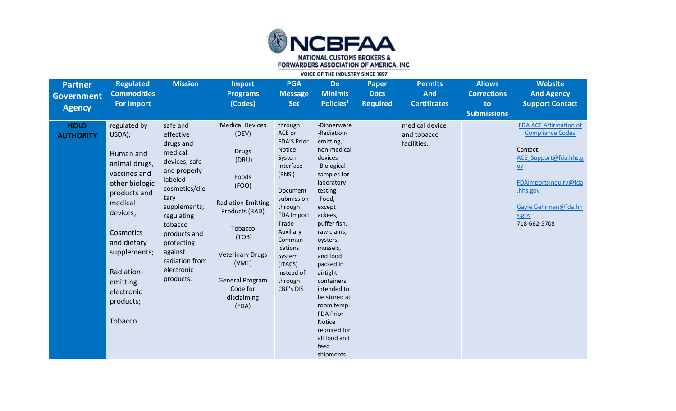

| <b>Partner</b><br><b>Government</b><br><b>Agency</b> | <b>Regulated</b><br><b>Commodities</b><br><b>For Import</b>                                                                                                                                                                               | <b>Mission</b>                                                                                                                                                                                                                                    | <b>Import</b><br><b>Programs</b><br>(Codes)                                                                                                                                                                                                     | <b>PGA</b><br><b>Message</b><br><b>Set</b>                                                                                                                                                                                                           | <b>De</b><br><b>Minimis</b><br>Policies <sup>1</sup>                                                                                                                                                                                                                                                                                                                                              | <b>Paper</b><br><b>Docs</b><br><b>Required</b> | <b>Permits</b><br><b>And</b><br><b>Certificates</b> | <b>Allows</b><br><b>Corrections</b><br>to<br><b>Submissions</b> | <b>Website</b><br><b>And Agency</b><br><b>Support Contact</b>                                                                                                                               |
|------------------------------------------------------|-------------------------------------------------------------------------------------------------------------------------------------------------------------------------------------------------------------------------------------------|---------------------------------------------------------------------------------------------------------------------------------------------------------------------------------------------------------------------------------------------------|-------------------------------------------------------------------------------------------------------------------------------------------------------------------------------------------------------------------------------------------------|------------------------------------------------------------------------------------------------------------------------------------------------------------------------------------------------------------------------------------------------------|---------------------------------------------------------------------------------------------------------------------------------------------------------------------------------------------------------------------------------------------------------------------------------------------------------------------------------------------------------------------------------------------------|------------------------------------------------|-----------------------------------------------------|-----------------------------------------------------------------|---------------------------------------------------------------------------------------------------------------------------------------------------------------------------------------------|
| <b>HOLD</b><br><b>AUTHORITY</b>                      | regulated by<br>USDA);<br>Human and<br>animal drugs,<br>vaccines and<br>other biologic<br>products and<br>medical<br>devices;<br>Cosmetics<br>and dietary<br>supplements;<br>Radiation-<br>emitting<br>electronic<br>products;<br>Tobacco | safe and<br>effective<br>drugs and<br>medical<br>devices; safe<br>and properly<br>labeled<br>cosmetics/die<br>tary<br>supplements;<br>regulating<br>tobacco<br>products and<br>protecting<br>against<br>radiation from<br>electronic<br>products. | <b>Medical Devices</b><br>(DEV)<br><b>Drugs</b><br>(DRU)<br>Foods<br>(FOO)<br><b>Radiation Emitting</b><br>Products (RAD)<br>Tobacco<br>(TOB)<br><b>Veterinary Drugs</b><br>(VME)<br><b>General Program</b><br>Code for<br>disclaiming<br>(FDA) | through<br>ACE or<br><b>FDA'S Prior</b><br>Notice<br>System<br>Interface<br>(PNSI)<br>Document<br>submission<br>through<br><b>FDA Import</b><br>Trade<br>Auxiliary<br>Commun-<br>ications<br>System<br>(ITACS)<br>instead of<br>through<br>CBP's DIS | -Dinnerware<br>-Radiation-<br>emitting,<br>non-medical<br>devices<br>-Biological<br>samples for<br>laboratory<br>testing<br>-Food,<br>except<br>ackees,<br>puffer fish,<br>raw clams,<br>oysters,<br>mussels,<br>and food<br>packed in<br>airtight<br>containers<br>intended to<br>be stored at<br>room temp.<br><b>FDA Prior</b><br>Notice<br>required for<br>all food and<br>feed<br>shipments. |                                                | medical device<br>and tobacco<br>facilities.        |                                                                 | <b>FDA ACE Affirmation of</b><br><b>Compliance Codes</b><br>Contact:<br>ACE Support@fda.hhs.g<br>$ov$<br>FDAImportsInquiry@fda<br>.hhs.gov<br>Gayle.Gehrman@fda.hh<br>s.gov<br>718-662-5708 |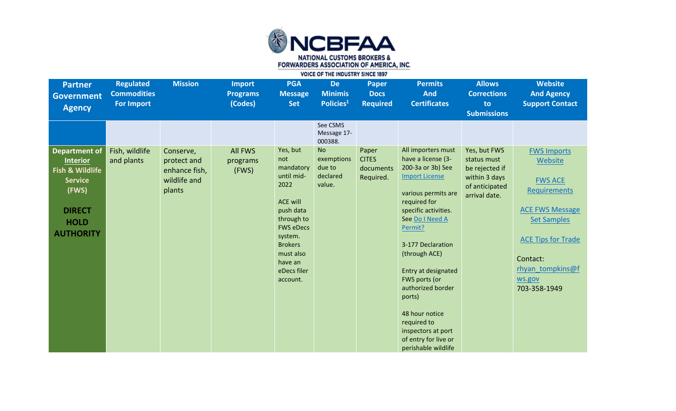

| <b>Partner</b><br><b>Government</b><br><b>Agency</b>                                                                                      | <b>Regulated</b><br><b>Commodities</b><br><b>For Import</b> | <b>Mission</b>                                                      | <b>Import</b><br><b>Programs</b><br>(Codes) | <b>PGA</b><br><b>Message</b><br><b>Set</b>                                                                                                                                                           | <b>De</b><br><b>Minimis</b><br>Policies <sup>1</sup>    | <b>Paper</b><br><b>Docs</b><br><b>Required</b>  | <b>Permits</b><br><b>And</b><br><b>Certificates</b>                                                                                                                                                                                                                                                                                                                                                    | <b>Allows</b><br><b>Corrections</b><br>to<br><b>Submissions</b>                                   | <b>Website</b><br><b>And Agency</b><br><b>Support Contact</b>                                                                                                                                                 |
|-------------------------------------------------------------------------------------------------------------------------------------------|-------------------------------------------------------------|---------------------------------------------------------------------|---------------------------------------------|------------------------------------------------------------------------------------------------------------------------------------------------------------------------------------------------------|---------------------------------------------------------|-------------------------------------------------|--------------------------------------------------------------------------------------------------------------------------------------------------------------------------------------------------------------------------------------------------------------------------------------------------------------------------------------------------------------------------------------------------------|---------------------------------------------------------------------------------------------------|---------------------------------------------------------------------------------------------------------------------------------------------------------------------------------------------------------------|
|                                                                                                                                           |                                                             |                                                                     |                                             |                                                                                                                                                                                                      | See CSMS<br>Message 17-<br>000388.                      |                                                 |                                                                                                                                                                                                                                                                                                                                                                                                        |                                                                                                   |                                                                                                                                                                                                               |
| <b>Department of</b><br><b>Interior</b><br>Fish & Wildlife<br><b>Service</b><br>(FWS)<br><b>DIRECT</b><br><b>HOLD</b><br><b>AUTHORITY</b> | Fish, wildlife<br>and plants                                | Conserve,<br>protect and<br>enhance fish,<br>wildlife and<br>plants | <b>All FWS</b><br>programs<br>(FWS)         | Yes, but<br>not<br>mandatory<br>until mid-<br>2022<br><b>ACE will</b><br>push data<br>through to<br><b>FWS eDecs</b><br>system.<br><b>Brokers</b><br>must also<br>have an<br>eDecs filer<br>account. | <b>No</b><br>exemptions<br>due to<br>declared<br>value. | Paper<br><b>CITES</b><br>documents<br>Required. | All importers must<br>have a license (3-<br>200-3a or 3b) See<br><b>Import License</b><br>various permits are<br>required for<br>specific activities.<br>See Do I Need A<br>Permit?<br>3-177 Declaration<br>(through ACE)<br>Entry at designated<br>FWS ports (or<br>authorized border<br>ports)<br>48 hour notice<br>required to<br>inspectors at port<br>of entry for live or<br>perishable wildlife | Yes, but FWS<br>status must<br>be rejected if<br>within 3 days<br>of anticipated<br>arrival date. | <b>FWS Imports</b><br>Website<br><b>FWS ACE</b><br><b>Requirements</b><br><b>ACE FWS Message</b><br><b>Set Samples</b><br><b>ACE Tips for Trade</b><br>Contact:<br>rhyan tompkins@f<br>ws.gov<br>703-358-1949 |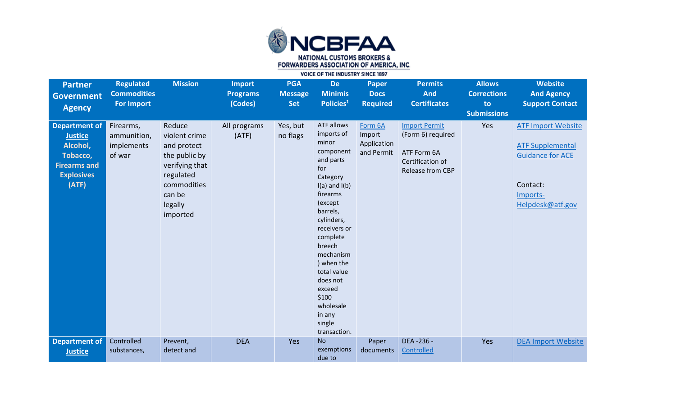

| <b>Partner</b><br><b>Government</b><br><b>Agency</b>                                                                | <b>Regulated</b><br><b>Commodities</b><br><b>For Import</b> | <b>Mission</b>                                                                                                                         | <b>Import</b><br><b>Programs</b><br>(Codes) | <b>PGA</b><br><b>Message</b><br><b>Set</b> | <b>De</b><br><b>Minimis</b><br>Policies <sup>1</sup>                                                                                                                                                                                                                                                                 | <b>Paper</b><br><b>Docs</b><br><b>Required</b> | <b>Permits</b><br><b>And</b><br><b>Certificates</b>                                              | <b>Allows</b><br><b>Corrections</b><br>to<br><b>Submissions</b> | <b>Website</b><br><b>And Agency</b><br><b>Support Contact</b>                                                               |
|---------------------------------------------------------------------------------------------------------------------|-------------------------------------------------------------|----------------------------------------------------------------------------------------------------------------------------------------|---------------------------------------------|--------------------------------------------|----------------------------------------------------------------------------------------------------------------------------------------------------------------------------------------------------------------------------------------------------------------------------------------------------------------------|------------------------------------------------|--------------------------------------------------------------------------------------------------|-----------------------------------------------------------------|-----------------------------------------------------------------------------------------------------------------------------|
| <b>Department of</b><br><b>Justice</b><br>Alcohol,<br>Tobacco,<br><b>Firearms and</b><br><b>Explosives</b><br>(ATF) | Firearms,<br>ammunition,<br>implements<br>of war            | Reduce<br>violent crime<br>and protect<br>the public by<br>verifying that<br>regulated<br>commodities<br>can be<br>legally<br>imported | All programs<br>(ATF)                       | Yes, but<br>no flags                       | ATF allows<br>imports of<br>minor<br>component<br>and parts<br>for<br>Category<br>$I(a)$ and $I(b)$<br>firearms<br>(except<br>barrels,<br>cylinders,<br>receivers or<br>complete<br>breech<br>mechanism<br>) when the<br>total value<br>does not<br>exceed<br>\$100<br>wholesale<br>in any<br>single<br>transaction. | Form 6A<br>Import<br>Application<br>and Permit | <b>Import Permit</b><br>(Form 6) required<br>ATF Form 6A<br>Certification of<br>Release from CBP | Yes                                                             | <b>ATF Import Website</b><br><b>ATF Supplemental</b><br><b>Guidance for ACE</b><br>Contact:<br>Imports-<br>Helpdesk@atf.gov |
| <b>Department of</b><br><b>Justice</b>                                                                              | Controlled<br>substances,                                   | Prevent,<br>detect and                                                                                                                 | <b>DEA</b>                                  | Yes                                        | <b>No</b><br>exemptions<br>due to                                                                                                                                                                                                                                                                                    | Paper<br>documents                             | DEA -236 -<br>Controlled                                                                         | Yes                                                             | <b>DEA Import Website</b>                                                                                                   |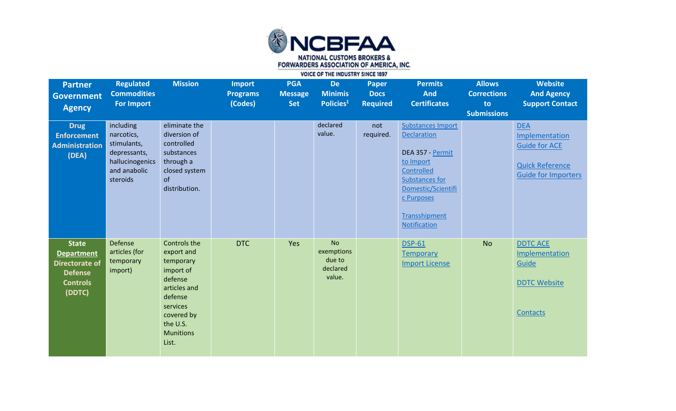

| <b>Partner</b><br><b>Government</b><br><b>Agency</b>                                                      | <b>Regulated</b><br><b>Commodities</b><br><b>For Import</b>                                           | <b>Mission</b>                                                                                                                                                | <b>Import</b><br><b>Programs</b><br>(Codes) | <b>PGA</b><br><b>Message</b><br><b>Set</b> | <b>De</b><br><b>Minimis</b><br>Policies <sup>1</sup>    | Paper<br><b>Docs</b><br><b>Required</b> | <b>Permits</b><br><b>And</b><br><b>Certificates</b>                                                                                                                                  | <b>Allows</b><br><b>Corrections</b><br>to<br><b>Submissions</b> | <b>Website</b><br><b>And Agency</b><br><b>Support Contact</b>                                                |
|-----------------------------------------------------------------------------------------------------------|-------------------------------------------------------------------------------------------------------|---------------------------------------------------------------------------------------------------------------------------------------------------------------|---------------------------------------------|--------------------------------------------|---------------------------------------------------------|-----------------------------------------|--------------------------------------------------------------------------------------------------------------------------------------------------------------------------------------|-----------------------------------------------------------------|--------------------------------------------------------------------------------------------------------------|
| <b>Drug</b><br><b>Enforcement</b><br><b>Administration</b><br>(DEA)                                       | including<br>narcotics,<br>stimulants,<br>depressants,<br>hallucinogenics<br>and anabolic<br>steroids | eliminate the<br>diversion of<br>controlled<br>substances<br>through a<br>closed system<br>of<br>distribution.                                                |                                             |                                            | declared<br>value.                                      | not<br>required.                        | <b>Substances Import</b><br><b>Declaration</b><br>DEA 357 - Permit<br>to Import<br>Controlled<br>Substances for<br>Domestic/Scientifi<br>c Purposes<br>Transshipment<br>Notification |                                                                 | <b>DEA</b><br>Implementation<br><b>Guide for ACE</b><br><b>Quick Reference</b><br><b>Guide for Importers</b> |
| <b>State</b><br><b>Department</b><br><b>Directorate of</b><br><b>Defense</b><br><b>Controls</b><br>(DDTC) | Defense<br>articles (for<br>temporary<br>import)                                                      | Controls the<br>export and<br>temporary<br>import of<br>defense<br>articles and<br>defense<br>services<br>covered by<br>the U.S.<br><b>Munitions</b><br>List. | <b>DTC</b>                                  | Yes                                        | <b>No</b><br>exemptions<br>due to<br>declared<br>value. |                                         | <b>DSP-61</b><br><b>Temporary</b><br><b>Import License</b>                                                                                                                           | <b>No</b>                                                       | <b>DDTC ACE</b><br>Implementation<br>Guide<br><b>DDTC Website</b><br>Contacts                                |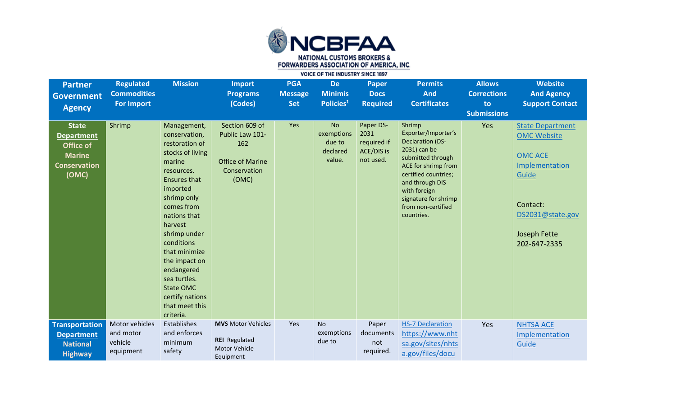

| <b>Partner</b><br><b>Government</b><br><b>Agency</b>                                            | <b>Regulated</b><br><b>Commodities</b><br><b>For Import</b> | <b>Mission</b>                                                                                                                                                                                                                                                                                                                                            | <b>Import</b><br><b>Programs</b><br>(Codes)                                                  | <b>PGA</b><br><b>Message</b><br><b>Set</b> | <b>De</b><br><b>Minimis</b><br>Policies <sup>1</sup>    | <b>Paper</b><br><b>Docs</b><br><b>Required</b>              | <b>Permits</b><br><b>And</b><br><b>Certificates</b>                                                                                                                                                                                         | <b>Allows</b><br><b>Corrections</b><br>to | <b>Website</b><br><b>And Agency</b><br><b>Support Contact</b>                                                                                              |
|-------------------------------------------------------------------------------------------------|-------------------------------------------------------------|-----------------------------------------------------------------------------------------------------------------------------------------------------------------------------------------------------------------------------------------------------------------------------------------------------------------------------------------------------------|----------------------------------------------------------------------------------------------|--------------------------------------------|---------------------------------------------------------|-------------------------------------------------------------|---------------------------------------------------------------------------------------------------------------------------------------------------------------------------------------------------------------------------------------------|-------------------------------------------|------------------------------------------------------------------------------------------------------------------------------------------------------------|
| <b>State</b><br><b>Department</b><br>Office of<br><b>Marine</b><br><b>Conservation</b><br>(OMC) | Shrimp                                                      | Management,<br>conservation,<br>restoration of<br>stocks of living<br>marine<br>resources.<br><b>Ensures that</b><br>imported<br>shrimp only<br>comes from<br>nations that<br>harvest<br>shrimp under<br>conditions<br>that minimize<br>the impact on<br>endangered<br>sea turtles.<br><b>State OMC</b><br>certify nations<br>that meet this<br>criteria. | Section 609 of<br>Public Law 101-<br>162<br><b>Office of Marine</b><br>Conservation<br>(OMC) | Yes                                        | <b>No</b><br>exemptions<br>due to<br>declared<br>value. | Paper DS-<br>2031<br>required if<br>ACE/DIS is<br>not used. | Shrimp<br>Exporter/Importer's<br><b>Declaration (DS-</b><br>2031) can be<br>submitted through<br>ACE for shrimp from<br>certified countries;<br>and through DIS<br>with foreign<br>signature for shrimp<br>from non-certified<br>countries. | <b>Submissions</b><br>Yes                 | <b>State Department</b><br><b>OMC Website</b><br><b>OMC ACE</b><br>Implementation<br>Guide<br>Contact:<br>DS2031@state.gov<br>Joseph Fette<br>202-647-2335 |
| <b>Transportation</b><br><b>Department</b><br><b>National</b><br><b>Highway</b>                 | Motor vehicles<br>and motor<br>vehicle<br>equipment         | Establishes<br>and enforces<br>minimum<br>safety                                                                                                                                                                                                                                                                                                          | <b>MVS</b> Motor Vehicles<br><b>REI</b> Regulated<br><b>Motor Vehicle</b><br>Equipment       | Yes                                        | <b>No</b><br>exemptions<br>due to                       | Paper<br>documents<br>not<br>required.                      | <b>HS-7 Declaration</b><br>https://www.nht<br>sa.gov/sites/nhts<br>a.gov/files/docu                                                                                                                                                         | Yes                                       | <b>NHTSA ACE</b><br>Implementation<br>Guide                                                                                                                |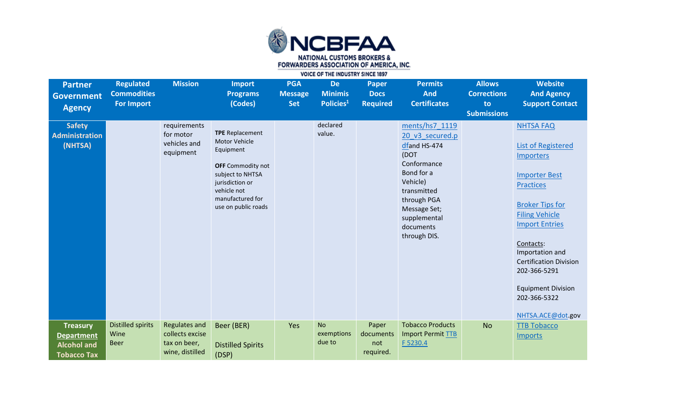

| <b>Partner</b><br><b>Government</b><br><b>Agency</b>                             | <b>Regulated</b><br><b>Commodities</b><br><b>For Import</b> | <b>Mission</b>                                                             | <b>Import</b><br><b>Programs</b><br>(Codes)                                                                                                                                       | <b>PGA</b><br><b>Message</b><br><b>Set</b> | <b>De</b><br><b>Minimis</b><br>Policies <sup>1</sup> | <b>Paper</b><br><b>Docs</b><br><b>Required</b> | <b>Permits</b><br><b>And</b><br><b>Certificates</b>                                                                                                                                           | <b>Allows</b><br><b>Corrections</b><br>to<br><b>Submissions</b> | <b>Website</b><br><b>And Agency</b><br><b>Support Contact</b>                                                                                                                                                                                                                                                                         |
|----------------------------------------------------------------------------------|-------------------------------------------------------------|----------------------------------------------------------------------------|-----------------------------------------------------------------------------------------------------------------------------------------------------------------------------------|--------------------------------------------|------------------------------------------------------|------------------------------------------------|-----------------------------------------------------------------------------------------------------------------------------------------------------------------------------------------------|-----------------------------------------------------------------|---------------------------------------------------------------------------------------------------------------------------------------------------------------------------------------------------------------------------------------------------------------------------------------------------------------------------------------|
| <b>Safety</b><br><b>Administration</b><br>(NHTSA)                                |                                                             | requirements<br>for motor<br>vehicles and<br>equipment                     | <b>TPE</b> Replacement<br>Motor Vehicle<br>Equipment<br><b>OFF</b> Commodity not<br>subject to NHTSA<br>jurisdiction or<br>vehicle not<br>manufactured for<br>use on public roads |                                            | declared<br>value.                                   |                                                | ments/hs7 1119<br>20 v3 secured.p<br>dfand HS-474<br>(DOT<br>Conformance<br>Bond for a<br>Vehicle)<br>transmitted<br>through PGA<br>Message Set;<br>supplemental<br>documents<br>through DIS. |                                                                 | <b>NHTSA FAQ</b><br><b>List of Registered</b><br>Importers<br><b>Importer Best</b><br><b>Practices</b><br><b>Broker Tips for</b><br><b>Filing Vehicle</b><br><b>Import Entries</b><br>Contacts:<br>Importation and<br><b>Certification Division</b><br>202-366-5291<br><b>Equipment Division</b><br>202-366-5322<br>NHTSA.ACE@dot.gov |
| <b>Treasury</b><br><b>Department</b><br><b>Alcohol and</b><br><b>Tobacco Tax</b> | <b>Distilled spirits</b><br>Wine<br><b>Beer</b>             | <b>Regulates and</b><br>collects excise<br>tax on beer,<br>wine, distilled | Beer (BER)<br><b>Distilled Spirits</b><br>(DSP)                                                                                                                                   | Yes                                        | <b>No</b><br>exemptions<br>due to                    | Paper<br>documents<br>not<br>required.         | <b>Tobacco Products</b><br>Import Permit TTB<br>F 5230.4                                                                                                                                      | <b>No</b>                                                       | <b>TTB Tobacco</b><br><b>Imports</b>                                                                                                                                                                                                                                                                                                  |

VOICE OF THE INDUSTRY SINCE 1897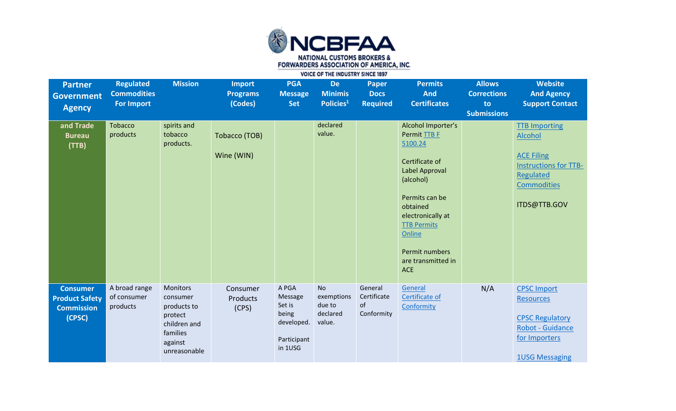

| <b>Partner</b><br>Government<br><b>Agency</b>                           | <b>Regulated</b><br><b>Commodities</b><br><b>For Import</b> | <b>Mission</b>                                                                                               | <b>Import</b><br><b>Programs</b><br>(Codes) | <b>PGA</b><br><b>Message</b><br><b>Set</b>                                  | <b>De</b><br><b>Minimis</b><br>Policies <sup>1</sup>    | <b>Paper</b><br><b>Docs</b><br><b>Required</b> | <b>Permits</b><br><b>And</b><br><b>Certificates</b>                                                                                                                                                                                     | <b>Allows</b><br><b>Corrections</b><br>to<br><b>Submissions</b> | <b>Website</b><br><b>And Agency</b><br><b>Support Contact</b>                                                                           |
|-------------------------------------------------------------------------|-------------------------------------------------------------|--------------------------------------------------------------------------------------------------------------|---------------------------------------------|-----------------------------------------------------------------------------|---------------------------------------------------------|------------------------------------------------|-----------------------------------------------------------------------------------------------------------------------------------------------------------------------------------------------------------------------------------------|-----------------------------------------------------------------|-----------------------------------------------------------------------------------------------------------------------------------------|
| and Trade<br><b>Bureau</b><br>(TTB)                                     | Tobacco<br>products                                         | spirits and<br>tobacco<br>products.                                                                          | Tobacco (TOB)<br>Wine (WIN)                 |                                                                             | declared<br>value.                                      |                                                | Alcohol Importer's<br>Permit TTB F<br>5100.24<br>Certificate of<br>Label Approval<br>(alcohol)<br>Permits can be<br>obtained<br>electronically at<br><b>TTB Permits</b><br>Online<br>Permit numbers<br>are transmitted in<br><b>ACE</b> |                                                                 | <b>TTB Importing</b><br>Alcohol<br><b>ACE Filing</b><br><b>Instructions for TTB-</b><br>Regulated<br><b>Commodities</b><br>ITDS@TTB.GOV |
| <b>Consumer</b><br><b>Product Safety</b><br><b>Commission</b><br>(CPSC) | A broad range<br>of consumer<br>products                    | <b>Monitors</b><br>consumer<br>products to<br>protect<br>children and<br>families<br>against<br>unreasonable | Consumer<br>Products<br>(CPS)               | A PGA<br>Message<br>Set is<br>being<br>developed.<br>Participant<br>in 1USG | <b>No</b><br>exemptions<br>due to<br>declared<br>value. | General<br>Certificate<br>of<br>Conformity     | General<br>Certificate of<br>Conformity                                                                                                                                                                                                 | N/A                                                             | <b>CPSC Import</b><br><b>Resources</b><br><b>CPSC Regulatory</b><br>Robot - Guidance<br>for Importers<br><b>1USG Messaging</b>          |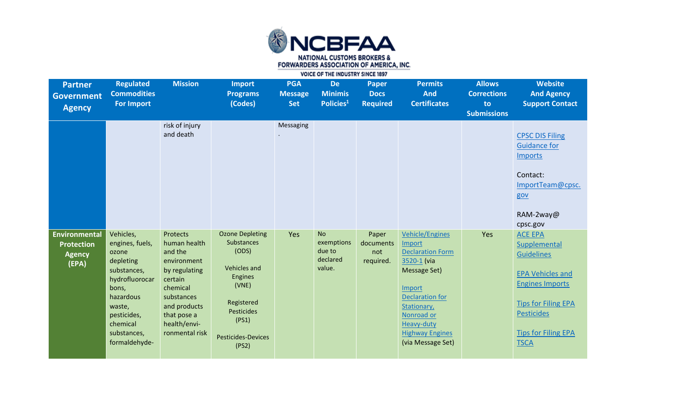

| <b>Partner</b><br><b>Government</b><br><b>Agency</b>                | <b>Regulated</b><br><b>Commodities</b><br><b>For Import</b>                                                                                                                    | <b>Mission</b>                                                                                                                                                            | <b>Import</b><br><b>Programs</b><br>(Codes)                                                                                                                                | <b>PGA</b><br><b>Message</b><br><b>Set</b> | <b>De</b><br><b>Minimis</b><br>Policies <sup>1</sup>    | <b>Paper</b><br><b>Docs</b><br><b>Required</b> | <b>Permits</b><br><b>And</b><br><b>Certificates</b>                                                                                                                                                                      | <b>Allows</b><br><b>Corrections</b><br>to<br><b>Submissions</b> | <b>Website</b><br><b>And Agency</b><br><b>Support Contact</b>                                                                                                                                            |
|---------------------------------------------------------------------|--------------------------------------------------------------------------------------------------------------------------------------------------------------------------------|---------------------------------------------------------------------------------------------------------------------------------------------------------------------------|----------------------------------------------------------------------------------------------------------------------------------------------------------------------------|--------------------------------------------|---------------------------------------------------------|------------------------------------------------|--------------------------------------------------------------------------------------------------------------------------------------------------------------------------------------------------------------------------|-----------------------------------------------------------------|----------------------------------------------------------------------------------------------------------------------------------------------------------------------------------------------------------|
|                                                                     |                                                                                                                                                                                | risk of injury<br>and death                                                                                                                                               |                                                                                                                                                                            | Messaging                                  |                                                         |                                                |                                                                                                                                                                                                                          |                                                                 | <b>CPSC DIS Filing</b><br><b>Guidance for</b><br><b>Imports</b><br>Contact:<br>ImportTeam@cpsc.<br>gov<br>RAM-2way@<br>cpsc.gov                                                                          |
| <b>Environmental</b><br><b>Protection</b><br><b>Agency</b><br>(EPA) | Vehicles,<br>engines, fuels,<br>ozone<br>depleting<br>substances,<br>hydrofluorocar<br>bons,<br>hazardous<br>waste,<br>pesticides,<br>chemical<br>substances,<br>formaldehyde- | Protects<br>human health<br>and the<br>environment<br>by regulating<br>certain<br>chemical<br>substances<br>and products<br>that pose a<br>health/envi-<br>ronmental risk | <b>Ozone Depleting</b><br>Substances<br>(ODS)<br><b>Vehicles and</b><br><b>Engines</b><br>(VNE)<br>Registered<br>Pesticides<br>(PS1)<br><b>Pesticides-Devices</b><br>(PS2) | Yes                                        | <b>No</b><br>exemptions<br>due to<br>declared<br>value. | Paper<br>documents<br>not<br>required.         | <b>Vehicle/Engines</b><br>Import<br><b>Declaration Form</b><br>3520-1 (via<br>Message Set)<br>Import<br><b>Declaration for</b><br>Stationary,<br>Nonroad or<br>Heavy-duty<br><b>Highway Engines</b><br>(via Message Set) | Yes                                                             | <b>ACE EPA</b><br>Supplemental<br><b>Guidelines</b><br><b>EPA Vehicles and</b><br><b>Engines Imports</b><br><b>Tips for Filing EPA</b><br><b>Pesticides</b><br><b>Tips for Filing EPA</b><br><b>TSCA</b> |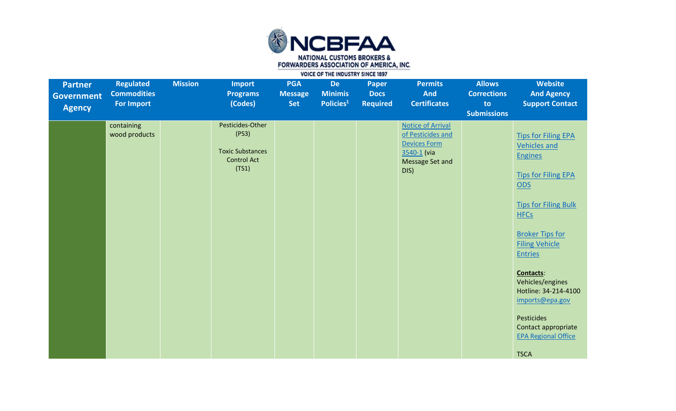

| <b>Partner</b><br><b>Government</b><br><b>Agency</b> | <b>Regulated</b><br><b>Commodities</b><br><b>For Import</b> | <b>Mission</b> | <b>Import</b><br><b>Programs</b><br>(Codes)                                         | <b>PGA</b><br><b>Message</b><br>Set | <b>De</b><br><b>Minimis</b><br>Policies <sup>1</sup> | <b>Paper</b><br><b>Docs</b><br><b>Required</b> | <b>Permits</b><br><b>And</b><br><b>Certificates</b>                                                            | <b>Allows</b><br><b>Corrections</b><br>to<br><b>Submissions</b> | Website<br><b>And Agency</b><br><b>Support Contact</b>                                                                                                                                                                                                                                                                                                                                                         |
|------------------------------------------------------|-------------------------------------------------------------|----------------|-------------------------------------------------------------------------------------|-------------------------------------|------------------------------------------------------|------------------------------------------------|----------------------------------------------------------------------------------------------------------------|-----------------------------------------------------------------|----------------------------------------------------------------------------------------------------------------------------------------------------------------------------------------------------------------------------------------------------------------------------------------------------------------------------------------------------------------------------------------------------------------|
|                                                      | containing<br>wood products                                 |                | Pesticides-Other<br>(PS3)<br><b>Toxic Substances</b><br><b>Control Act</b><br>(TS1) |                                     |                                                      |                                                | <b>Notice of Arrival</b><br>of Pesticides and<br><b>Devices Form</b><br>3540-1 (via<br>Message Set and<br>DIS) |                                                                 | <b>Tips for Filing EPA</b><br><b>Vehicles and</b><br><b>Engines</b><br><b>Tips for Filing EPA</b><br><b>ODS</b><br><b>Tips for Filing Bulk</b><br><b>HFCs</b><br><b>Broker Tips for</b><br><b>Filing Vehicle</b><br><b>Entries</b><br><b>Contacts:</b><br>Vehicles/engines<br>Hotline: 34-214-4100<br>imports@epa.gov<br><b>Pesticides</b><br>Contact appropriate<br><b>EPA Regional Office</b><br><b>TSCA</b> |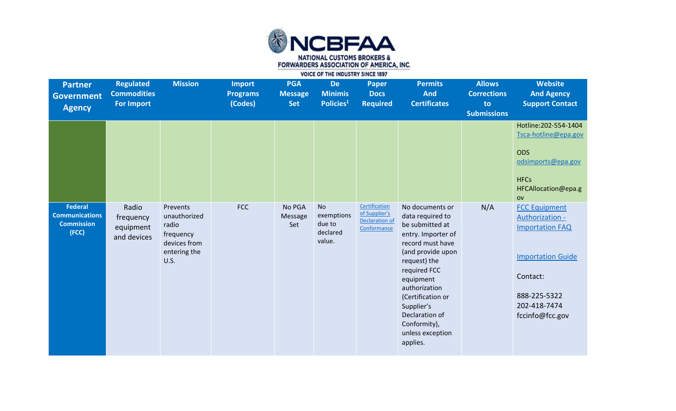

| <b>Partner</b><br><b>Government</b><br><b>Agency</b>                  | <b>Regulated</b><br><b>Commodities</b><br>For Import | <b>Mission</b>                                                                         | <b>Import</b><br><b>Programs</b><br>(Codes) | <b>PGA</b><br><b>Message</b><br><b>Set</b> | <b>De</b><br><b>Minimis</b><br>Policies <sup>1</sup>    | <b>Paper</b><br><b>Docs</b><br><b>Required</b>                         | <b>Permits</b><br><b>And</b><br><b>Certificates</b>                                                                                                                                                                                                                                      | <b>Allows</b><br><b>Corrections</b><br>to<br><b>Submissions</b> | Website<br><b>And Agency</b><br><b>Support Contact</b>                                                                                                       |
|-----------------------------------------------------------------------|------------------------------------------------------|----------------------------------------------------------------------------------------|---------------------------------------------|--------------------------------------------|---------------------------------------------------------|------------------------------------------------------------------------|------------------------------------------------------------------------------------------------------------------------------------------------------------------------------------------------------------------------------------------------------------------------------------------|-----------------------------------------------------------------|--------------------------------------------------------------------------------------------------------------------------------------------------------------|
|                                                                       |                                                      |                                                                                        |                                             |                                            |                                                         |                                                                        |                                                                                                                                                                                                                                                                                          |                                                                 | Hotline: 202-554-1404<br>Tsca-hotline@epa.gov<br><b>ODS</b><br>odsimports@epa.gov<br><b>HFCs</b><br>HFCAllocation@epa.g<br>O <sub>V</sub>                    |
| <b>Federal</b><br><b>Communications</b><br><b>Commission</b><br>(FCC) | Radio<br>frequency<br>equipment<br>and devices       | Prevents<br>unauthorized<br>radio<br>frequency<br>devices from<br>entering the<br>U.S. | <b>FCC</b>                                  | No PGA<br>Message<br>Set                   | <b>No</b><br>exemptions<br>due to<br>declared<br>value. | Certification<br>of Supplier's<br><b>Declaration of</b><br>Conformance | No documents or<br>data required to<br>be submitted at<br>entry. Importer of<br>record must have<br>(and provide upon<br>request) the<br>required FCC<br>equipment<br>authorization<br>(Certification or<br>Supplier's<br>Declaration of<br>Conformity),<br>unless exception<br>applies. | N/A                                                             | <b>FCC Equipment</b><br>Authorization -<br><b>Importation FAQ</b><br><b>Importation Guide</b><br>Contact:<br>888-225-5322<br>202-418-7474<br>fccinfo@fcc.gov |